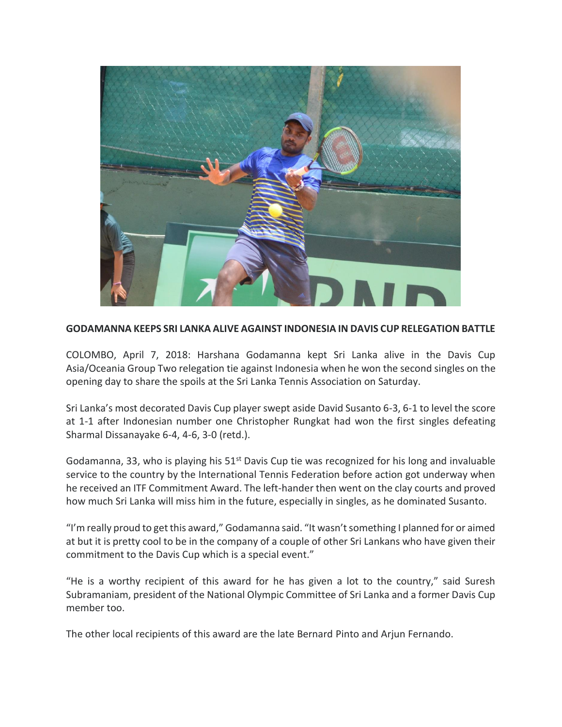

## **GODAMANNA KEEPS SRI LANKA ALIVE AGAINST INDONESIA IN DAVIS CUP RELEGATION BATTLE**

COLOMBO, April 7, 2018: Harshana Godamanna kept Sri Lanka alive in the Davis Cup Asia/Oceania Group Two relegation tie against Indonesia when he won the second singles on the opening day to share the spoils at the Sri Lanka Tennis Association on Saturday.

Sri Lanka's most decorated Davis Cup player swept aside David Susanto 6-3, 6-1 to level the score at 1-1 after Indonesian number one Christopher Rungkat had won the first singles defeating Sharmal Dissanayake 6-4, 4-6, 3-0 (retd.).

Godamanna, 33, who is playing his  $51^{st}$  Davis Cup tie was recognized for his long and invaluable service to the country by the International Tennis Federation before action got underway when he received an ITF Commitment Award. The left-hander then went on the clay courts and proved how much Sri Lanka will miss him in the future, especially in singles, as he dominated Susanto.

"I'm really proud to get this award," Godamanna said. "It wasn't something I planned for or aimed at but it is pretty cool to be in the company of a couple of other Sri Lankans who have given their commitment to the Davis Cup which is a special event."

"He is a worthy recipient of this award for he has given a lot to the country," said Suresh Subramaniam, president of the National Olympic Committee of Sri Lanka and a former Davis Cup member too.

The other local recipients of this award are the late Bernard Pinto and Arjun Fernando.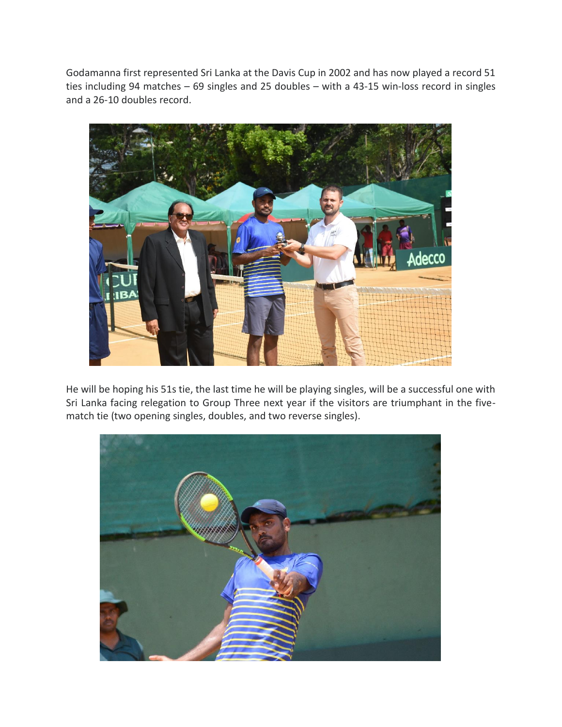Godamanna first represented Sri Lanka at the Davis Cup in 2002 and has now played a record 51 ties including 94 matches – 69 singles and 25 doubles – with a 43-15 win-loss record in singles and a 26-10 doubles record.



He will be hoping his 51s tie, the last time he will be playing singles, will be a successful one with Sri Lanka facing relegation to Group Three next year if the visitors are triumphant in the fivematch tie (two opening singles, doubles, and two reverse singles).